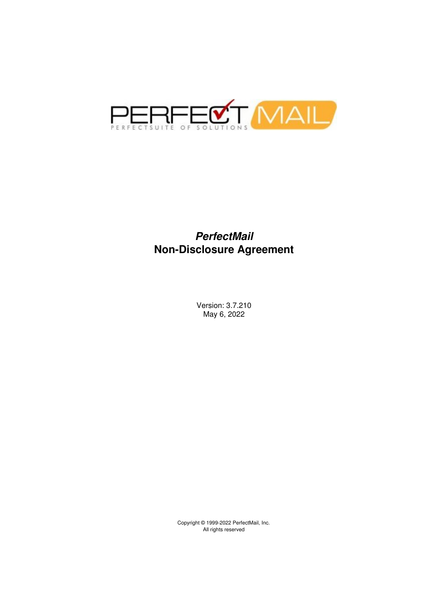

### *PerfectMail* **Non-Disclosure Agreement**

Version: 3.7.210 May 6, 2022

Copyright © 1999-2022 PerfectMail, Inc. All rights reserved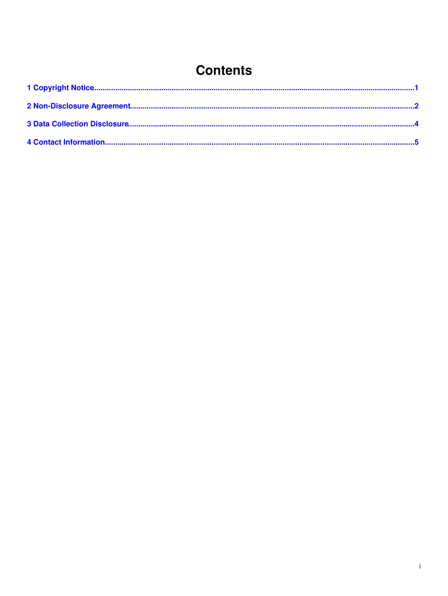## **Contents**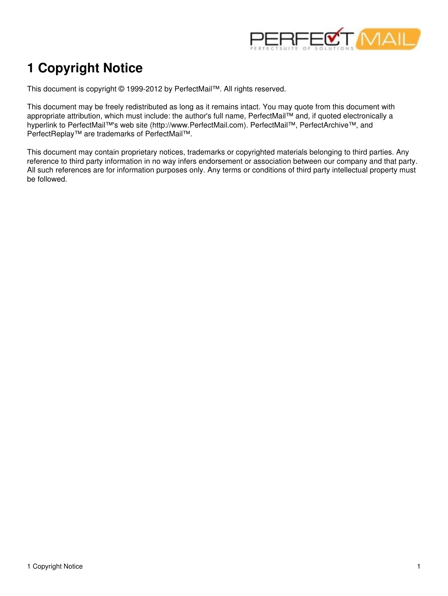

# <span id="page-2-0"></span>**1 Copyright Notice**

This document is copyright © 1999-2012 by PerfectMail™. All rights reserved.

This document may be freely redistributed as long as it remains intact. You may quote from this document with appropriate attribution, which must include: the author's full name, PerfectMail™ and, if quoted electronically a hyperlink to PerfectMail™'s web site (http://www.PerfectMail.com). PerfectMail™, PerfectArchive™, and PerfectReplay™ are trademarks of PerfectMail™.

This document may contain proprietary notices, trademarks or copyrighted materials belonging to third parties. Any reference to third party information in no way infers endorsement or association between our company and that party. All such references are for information purposes only. Any terms or conditions of third party intellectual property must be followed.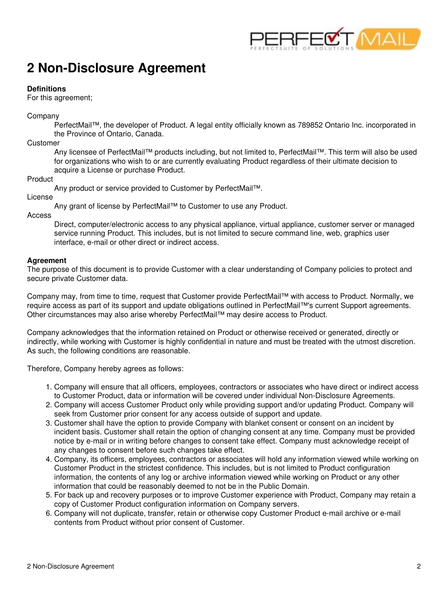

### <span id="page-3-0"></span>**2 Non-Disclosure Agreement**

### **Definitions**

For this agreement;

### Company

PerfectMail™, the developer of Product. A legal entity officially known as 789852 Ontario Inc. incorporated in the Province of Ontario, Canada.

### Customer

Any licensee of PerfectMail™ products including, but not limited to, PerfectMail™. This term will also be used for organizations who wish to or are currently evaluating Product regardless of their ultimate decision to acquire a License or purchase Product.

### Product

Any product or service provided to Customer by PerfectMail™.

License

Any grant of license by PerfectMail™ to Customer to use any Product.

Access

Direct, computer/electronic access to any physical appliance, virtual appliance, customer server or managed service running Product. This includes, but is not limited to secure command line, web, graphics user interface, e-mail or other direct or indirect access.

### **Agreement**

The purpose of this document is to provide Customer with a clear understanding of Company policies to protect and secure private Customer data.

Company may, from time to time, request that Customer provide PerfectMail™ with access to Product. Normally, we require access as part of its support and update obligations outlined in PerfectMail™'s current Support agreements. Other circumstances may also arise whereby PerfectMail™ may desire access to Product.

Company acknowledges that the information retained on Product or otherwise received or generated, directly or indirectly, while working with Customer is highly confidential in nature and must be treated with the utmost discretion. As such, the following conditions are reasonable.

Therefore, Company hereby agrees as follows:

- 1. Company will ensure that all officers, employees, contractors or associates who have direct or indirect access to Customer Product, data or information will be covered under individual Non-Disclosure Agreements.
- 2. Company will access Customer Product only while providing support and/or updating Product. Company will seek from Customer prior consent for any access outside of support and update.
- 3. Customer shall have the option to provide Company with blanket consent or consent on an incident by incident basis. Customer shall retain the option of changing consent at any time. Company must be provided notice by e-mail or in writing before changes to consent take effect. Company must acknowledge receipt of any changes to consent before such changes take effect.
- 4. Company, its officers, employees, contractors or associates will hold any information viewed while working on Customer Product in the strictest confidence. This includes, but is not limited to Product configuration information, the contents of any log or archive information viewed while working on Product or any other information that could be reasonably deemed to not be in the Public Domain.
- For back up and recovery purposes or to improve Customer experience with Product, Company may retain a 5. copy of Customer Product configuration information on Company servers.
- 6. Company will not duplicate, transfer, retain or otherwise copy Customer Product e-mail archive or e-mail contents from Product without prior consent of Customer.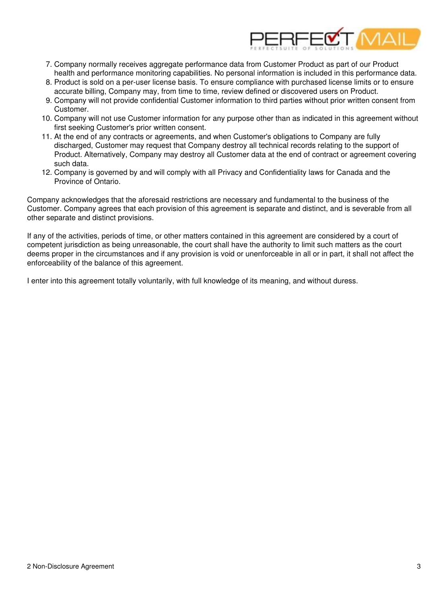

- 7. Company normally receives aggregate performance data from Customer Product as part of our Product health and performance monitoring capabilities. No personal information is included in this performance data.
- 8. Product is sold on a per-user license basis. To ensure compliance with purchased license limits or to ensure accurate billing, Company may, from time to time, review defined or discovered users on Product.
- 9. Company will not provide confidential Customer information to third parties without prior written consent from Customer.
- 10. Company will not use Customer information for any purpose other than as indicated in this agreement without first seeking Customer's prior written consent.
- 11. At the end of any contracts or agreements, and when Customer's obligations to Company are fully discharged, Customer may request that Company destroy all technical records relating to the support of Product. Alternatively, Company may destroy all Customer data at the end of contract or agreement covering such data.
- 12. Company is governed by and will comply with all Privacy and Confidentiality laws for Canada and the Province of Ontario.

Company acknowledges that the aforesaid restrictions are necessary and fundamental to the business of the Customer. Company agrees that each provision of this agreement is separate and distinct, and is severable from all other separate and distinct provisions.

If any of the activities, periods of time, or other matters contained in this agreement are considered by a court of competent jurisdiction as being unreasonable, the court shall have the authority to limit such matters as the court deems proper in the circumstances and if any provision is void or unenforceable in all or in part, it shall not affect the enforceability of the balance of this agreement.

I enter into this agreement totally voluntarily, with full knowledge of its meaning, and without duress.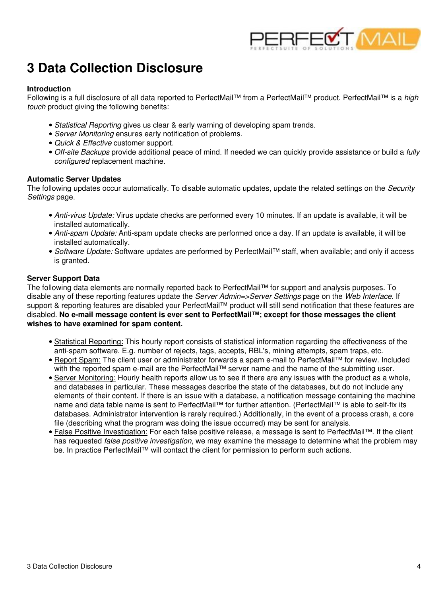

### <span id="page-5-0"></span>**3 Data Collection Disclosure**

#### **Introduction**

Following is a full disclosure of all data reported to PerfectMail™ from a PerfectMail™ product. PerfectMail™ is a *high touch* product giving the following benefits:

- *Statistical Reporting* gives us clear & early warning of developing spam trends.
- *Server Monitoring* ensures early notification of problems.
- *Quick & Effective* customer support.
- *Off-site Backups* provide additional peace of mind. If needed we can quickly provide assistance or build a *fully configured* replacement machine.

#### **Automatic Server Updates**

The following updates occur automatically. To disable automatic updates, update the related settings on the *Security Settings* page.

- *Anti-virus Update:* Virus update checks are performed every 10 minutes. If an update is available, it will be installed automatically.
- *Anti-spam Update:* Anti-spam update checks are performed once a day. If an update is available, it will be installed automatically.
- *Software Update:* Software updates are performed by PerfectMail™ staff, when available; and only if access is granted.

### **Server Support Data**

The following data elements are normally reported back to PerfectMail™ for support and analysis purposes. To disable any of these reporting features update the *Server Admin=>Server Settings* page on the *Web Interface*. If support & reporting features are disabled your PerfectMail™ product will still send notification that these features are disabled. **No e-mail message content is ever sent to PerfectMail™; except for those messages the client wishes to have examined for spam content.**

- Statistical Reporting: This hourly report consists of statistical information regarding the effectiveness of the anti-spam software. E.g. number of rejects, tags, accepts, RBL's, mining attempts, spam traps, etc.
- <u>Report Spam:</u> The client user or administrator forwards a spam e-mail to PerfectMail™ for review. Included with the reported spam e-mail are the PerfectMail™ server name and the name of the submitting user.
- Server Monitoring: Hourly health reports allow us to see if there are any issues with the product as a whole, and databases in particular. These messages describe the state of the databases, but do not include any elements of their content. If there is an issue with a database, a notification message containing the machine name and data table name is sent to PerfectMail™ for further attention. (PerfectMail™ is able to self-fix its databases. Administrator intervention is rarely required.) Additionally, in the event of a process crash, a core file (describing what the program was doing the issue occurred) may be sent for analysis.
- <u>False Positive Investigation:</u> For each false positive release, a message is sent to PerfectMail™. If the client has requested *false positive investigation*, we may examine the message to determine what the problem may be. In practice PerfectMail™ will contact the client for permission to perform such actions.